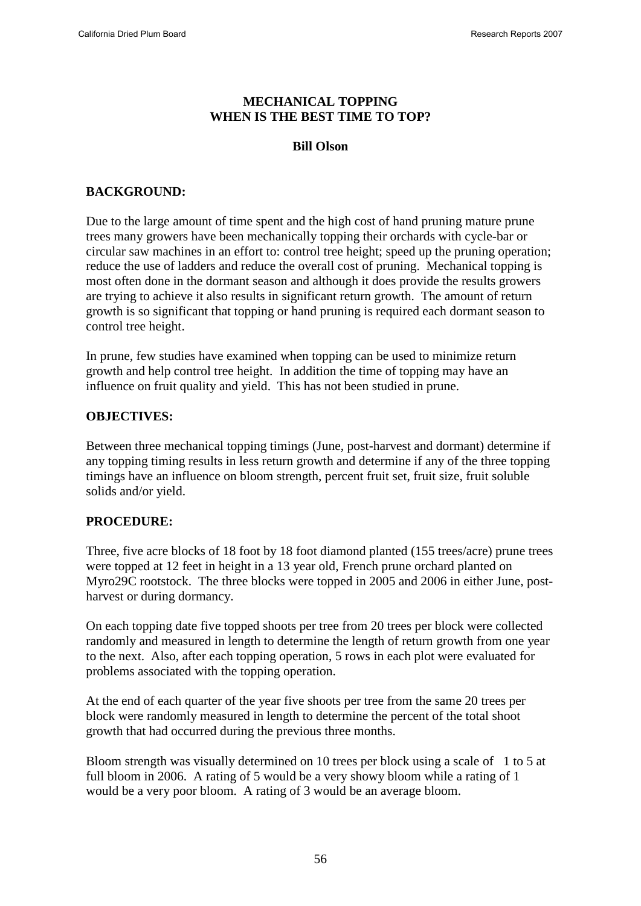### **MECHANICAL TOPPING WHEN IS THE BEST TIME TO TOP?**

### **Bill Olson**

# **BACKGROUND:**

Due to the large amount of time spent and the high cost of hand pruning mature prune trees many growers have been mechanically topping their orchards with cycle-bar or circular saw machines in an effort to: control tree height; speed up the pruning operation; reduce the use of ladders and reduce the overall cost of pruning. Mechanical topping is most often done in the dormant season and although it does provide the results growers are trying to achieve it also results in significant return growth. The amount of return growth is so significant that topping or hand pruning is required each dormant season to control tree height.

In prune, few studies have examined when topping can be used to minimize return growth and help control tree height. In addition the time of topping may have an influence on fruit quality and yield. This has not been studied in prune.

### **OBJECTIVES:**

Between three mechanical topping timings (June, post-harvest and dormant) determine if any topping timing results in less return growth and determine if any of the three topping timings have an influence on bloom strength, percent fruit set, fruit size, fruit soluble solids and/or yield.

#### **PROCEDURE:**

Three, five acre blocks of 18 foot by 18 foot diamond planted (155 trees/acre) prune trees were topped at 12 feet in height in a 13 year old, French prune orchard planted on Myro29C rootstock. The three blocks were topped in 2005 and 2006 in either June, postharvest or during dormancy.

On each topping date five topped shoots per tree from 20 trees per block were collected randomly and measured in length to determine the length of return growth from one year to the next. Also, after each topping operation, 5 rows in each plot were evaluated for problems associated with the topping operation.

At the end of each quarter of the year five shoots per tree from the same 20 trees per block were randomly measured in length to determine the percent of the total shoot growth that had occurred during the previous three months.

Bloom strength was visually determined on 10 trees per block using a scale of 1 to 5 at full bloom in 2006. A rating of 5 would be a very showy bloom while a rating of 1 would be a very poor bloom. A rating of 3 would be an average bloom.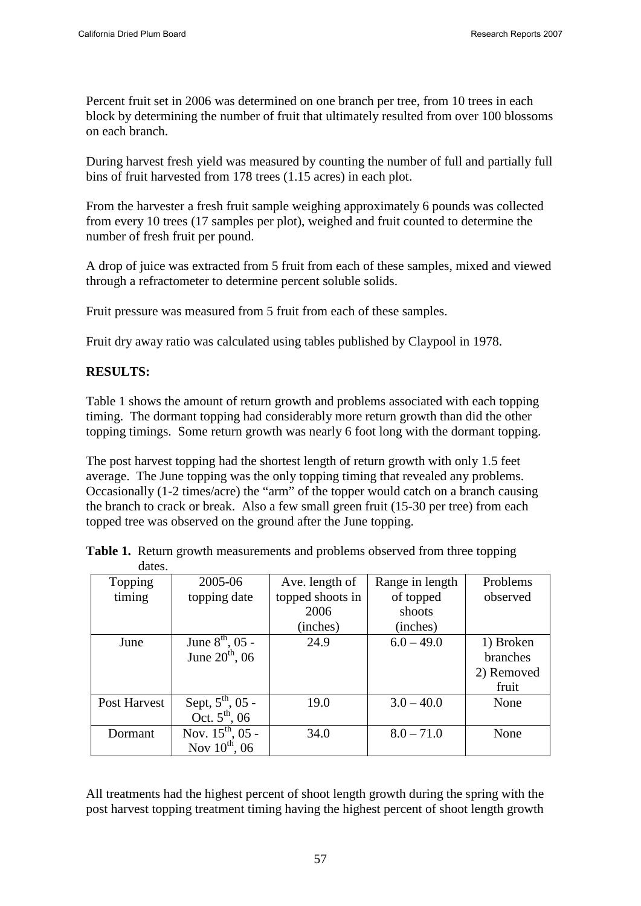Percent fruit set in 2006 was determined on one branch per tree, from 10 trees in each block by determining the number of fruit that ultimately resulted from over 100 blossoms on each branch.

During harvest fresh yield was measured by counting the number of full and partially full bins of fruit harvested from 178 trees (1.15 acres) in each plot.

From the harvester a fresh fruit sample weighing approximately 6 pounds was collected from every 10 trees (17 samples per plot), weighed and fruit counted to determine the number of fresh fruit per pound.

A drop of juice was extracted from 5 fruit from each of these samples, mixed and viewed through a refractometer to determine percent soluble solids.

Fruit pressure was measured from 5 fruit from each of these samples.

Fruit dry away ratio was calculated using tables published by Claypool in 1978.

### **RESULTS:**

Table 1 shows the amount of return growth and problems associated with each topping timing. The dormant topping had considerably more return growth than did the other topping timings. Some return growth was nearly 6 foot long with the dormant topping.

The post harvest topping had the shortest length of return growth with only 1.5 feet average. The June topping was the only topping timing that revealed any problems. Occasionally (1-2 times/acre) the "arm" of the topper would catch on a branch causing the branch to crack or break. Also a few small green fruit (15-30 per tree) from each topped tree was observed on the ground after the June topping.

| Topping      | 2005-06                      | Ave. length of   | Range in length | Problems   |
|--------------|------------------------------|------------------|-----------------|------------|
| timing       | topping date                 | topped shoots in | of topped       | observed   |
|              |                              | 2006<br>shoots   |                 |            |
|              |                              | (inches)         | (inches)        |            |
| June         | June $8^{th}$ , 05 -         | 24.9             | $6.0 - 49.0$    | 1) Broken  |
|              | June $20^{th}$ , 06          |                  |                 | branches   |
|              |                              |                  |                 | 2) Removed |
|              |                              |                  |                 | fruit      |
| Post Harvest | Sept, $5^{\text{th}}$ , 05 - | 19.0             | $3.0 - 40.0$    | None       |
|              | Oct. $5^{th}$ , 06           |                  |                 |            |
| Dormant      | Nov. $15^{th}$ , 05 -        | 34.0             | $8.0 - 71.0$    | None       |
|              | Nov $10^{th}$ , 06           |                  |                 |            |

**Table 1.** Return growth measurements and problems observed from three topping dates.

All treatments had the highest percent of shoot length growth during the spring with the post harvest topping treatment timing having the highest percent of shoot length growth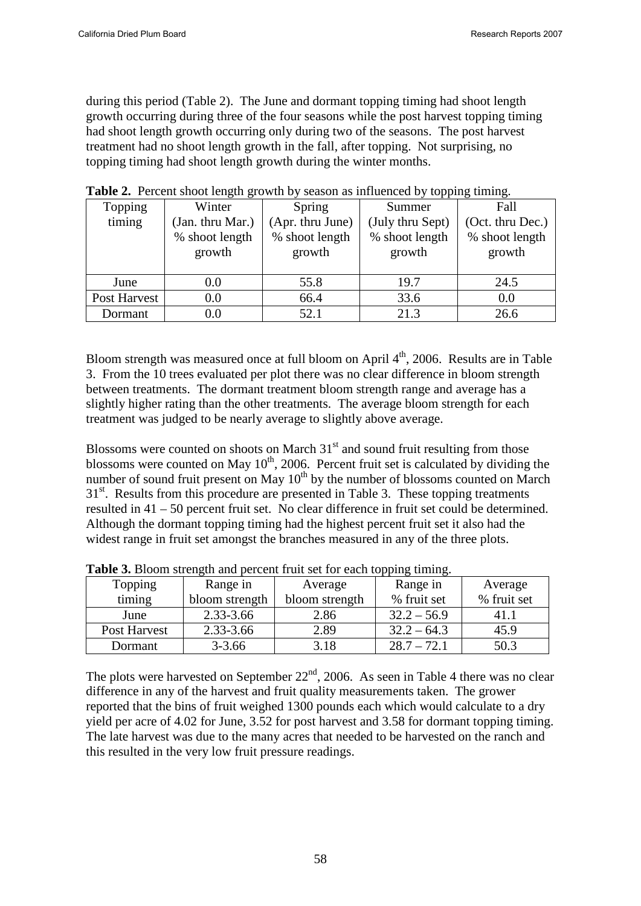during this period (Table 2). The June and dormant topping timing had shoot length growth occurring during three of the four seasons while the post harvest topping timing had shoot length growth occurring only during two of the seasons. The post harvest treatment had no shoot length growth in the fall, after topping. Not surprising, no topping timing had shoot length growth during the winter months.

| .            |                  |                  |                  |                  |
|--------------|------------------|------------------|------------------|------------------|
| Topping      | Winter           | Spring           | Summer           | Fall             |
| timing       | (Jan. thru Mar.) | (Apr. thru June) | (July thru Sept) | (Oct. thru Dec.) |
|              | % shoot length   | % shoot length   | % shoot length   | % shoot length   |
|              | growth           | growth           | growth           | growth           |
|              |                  |                  |                  |                  |
| June         | $0.0\,$          | 55.8             | 19.7             | 24.5             |
| Post Harvest | $0.0\,$          | 66.4             | 33.6             | 0.0              |
| Dormant      | $0.0\,$          | 52.1             | 21.3             | 26.6             |

**Table 2.** Percent shoot length growth by season as influenced by topping timing.

Bloom strength was measured once at full bloom on April  $4<sup>th</sup>$ , 2006. Results are in Table 3. From the 10 trees evaluated per plot there was no clear difference in bloom strength between treatments. The dormant treatment bloom strength range and average has a slightly higher rating than the other treatments. The average bloom strength for each treatment was judged to be nearly average to slightly above average.

Blossoms were counted on shoots on March  $31<sup>st</sup>$  and sound fruit resulting from those blossoms were counted on May  $10^{th}$ , 2006. Percent fruit set is calculated by dividing the number of sound fruit present on May  $10<sup>th</sup>$  by the number of blossoms counted on March 31<sup>st</sup>. Results from this procedure are presented in Table 3. These topping treatments resulted in 41 – 50 percent fruit set. No clear difference in fruit set could be determined. Although the dormant topping timing had the highest percent fruit set it also had the widest range in fruit set amongst the branches measured in any of the three plots.

| Topping<br>Range in |                | Average        | Range in      | Average     |  |
|---------------------|----------------|----------------|---------------|-------------|--|
| timing              | bloom strength | bloom strength | % fruit set   | % fruit set |  |
| June                | 2.33-3.66      | 2.86           | $32.2 - 56.9$ | 41.1        |  |
| Post Harvest        | 2.33-3.66      | 2.89           | $32.2 - 64.3$ | 45.9        |  |
| Dormant             | $3 - 3.66$     | 3.18           | $28.7 - 72.1$ | 50.3        |  |

**Table 3.** Bloom strength and percent fruit set for each topping timing.

The plots were harvested on September  $22<sup>nd</sup>$ , 2006. As seen in Table 4 there was no clear difference in any of the harvest and fruit quality measurements taken. The grower reported that the bins of fruit weighed 1300 pounds each which would calculate to a dry yield per acre of 4.02 for June, 3.52 for post harvest and 3.58 for dormant topping timing. The late harvest was due to the many acres that needed to be harvested on the ranch and this resulted in the very low fruit pressure readings.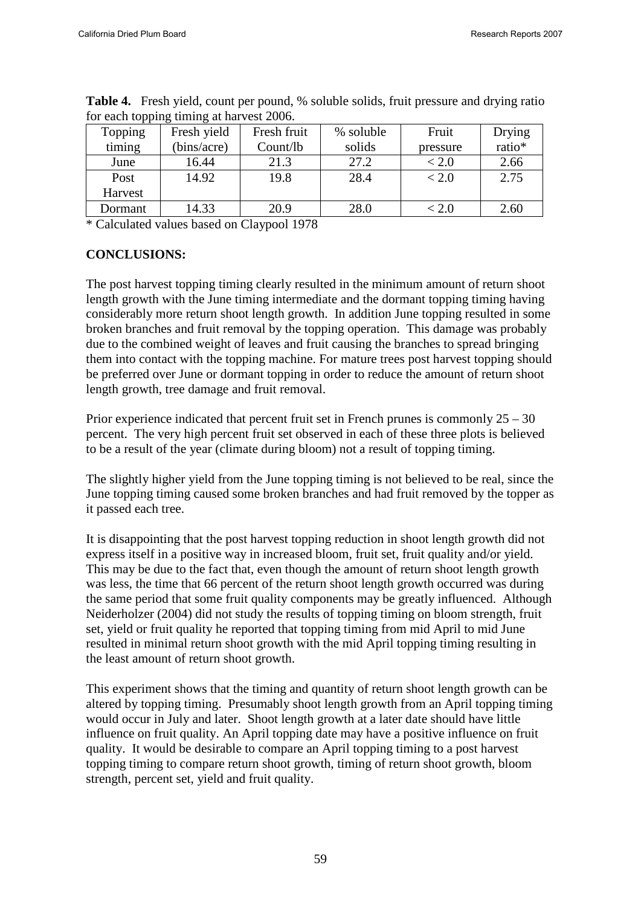| Topping | Fresh yield | Fresh fruit | % soluble | Fruit    | Drying |
|---------|-------------|-------------|-----------|----------|--------|
| timing  | (bins/acre) | Count/lb    | solids    | pressure | ratio* |
| June    | 16.44       | 21.3        | 27.2      | < 2.0    | 2.66   |
| Post    | 14.92       | 19.8        | 28.4      | < 2.0    | 2.75   |
| Harvest |             |             |           |          |        |
| Dormant | 14.33       | 20.9        | 28.0      | < 2.0    | 2.60   |

**Table 4.** Fresh yield, count per pound, % soluble solids, fruit pressure and drying ratio for each topping timing at harvest 2006.

\* Calculated values based on Claypool 1978

## **CONCLUSIONS:**

The post harvest topping timing clearly resulted in the minimum amount of return shoot length growth with the June timing intermediate and the dormant topping timing having considerably more return shoot length growth. In addition June topping resulted in some broken branches and fruit removal by the topping operation. This damage was probably due to the combined weight of leaves and fruit causing the branches to spread bringing them into contact with the topping machine. For mature trees post harvest topping should be preferred over June or dormant topping in order to reduce the amount of return shoot length growth, tree damage and fruit removal.

Prior experience indicated that percent fruit set in French prunes is commonly 25 – 30 percent. The very high percent fruit set observed in each of these three plots is believed to be a result of the year (climate during bloom) not a result of topping timing.

The slightly higher yield from the June topping timing is not believed to be real, since the June topping timing caused some broken branches and had fruit removed by the topper as it passed each tree.

It is disappointing that the post harvest topping reduction in shoot length growth did not express itself in a positive way in increased bloom, fruit set, fruit quality and/or yield. This may be due to the fact that, even though the amount of return shoot length growth was less, the time that 66 percent of the return shoot length growth occurred was during the same period that some fruit quality components may be greatly influenced. Although Neiderholzer (2004) did not study the results of topping timing on bloom strength, fruit set, yield or fruit quality he reported that topping timing from mid April to mid June resulted in minimal return shoot growth with the mid April topping timing resulting in the least amount of return shoot growth.

This experiment shows that the timing and quantity of return shoot length growth can be altered by topping timing. Presumably shoot length growth from an April topping timing would occur in July and later. Shoot length growth at a later date should have little influence on fruit quality. An April topping date may have a positive influence on fruit quality. It would be desirable to compare an April topping timing to a post harvest topping timing to compare return shoot growth, timing of return shoot growth, bloom strength, percent set, yield and fruit quality.